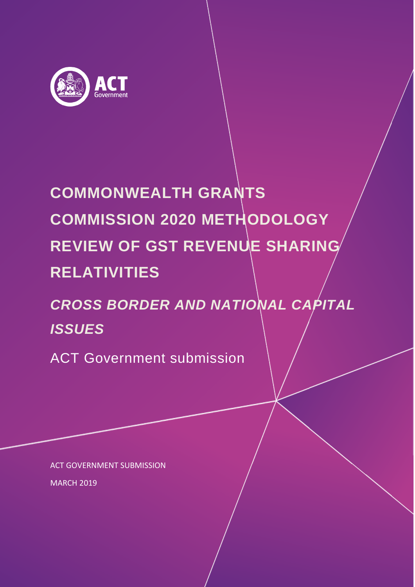

# **COMMONWEALTH GRANTS COMMISSION 2020 METHODOLOGY REVIEW OF GST REVENUE SHARING RELATIVITIES**

# *CROSS BORDER AND NATIONAL CAPITAL ISSUES*

ACT Government submission

ACT GOVERNMENT SUBMISSION MARCH 2019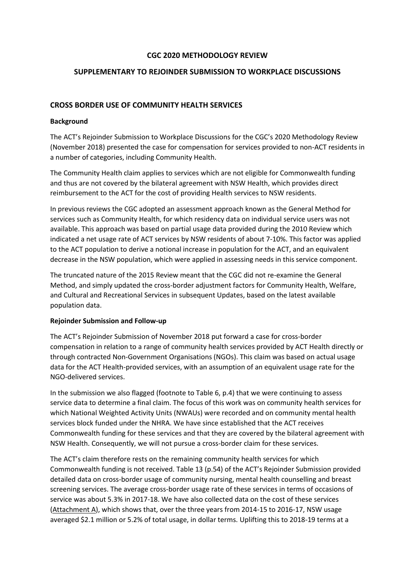#### **CGC 2020 METHODOLOGY REVIEW**

#### **SUPPLEMENTARY TO REJOINDER SUBMISSION TO WORKPLACE DISCUSSIONS**

#### **CROSS BORDER USE OF COMMUNITY HEALTH SERVICES**

#### **Background**

The ACT's Rejoinder Submission to Workplace Discussions for the CGC's 2020 Methodology Review (November 2018) presented the case for compensation for services provided to non-ACT residents in a number of categories, including Community Health.

The Community Health claim applies to services which are not eligible for Commonwealth funding and thus are not covered by the bilateral agreement with NSW Health, which provides direct reimbursement to the ACT for the cost of providing Health services to NSW residents.

In previous reviews the CGC adopted an assessment approach known as the General Method for services such as Community Health, for which residency data on individual service users was not available. This approach was based on partial usage data provided during the 2010 Review which indicated a net usage rate of ACT services by NSW residents of about 7-10%. This factor was applied to the ACT population to derive a notional increase in population for the ACT, and an equivalent decrease in the NSW population, which were applied in assessing needs in this service component.

The truncated nature of the 2015 Review meant that the CGC did not re-examine the General Method, and simply updated the cross-border adjustment factors for Community Health, Welfare, and Cultural and Recreational Services in subsequent Updates, based on the latest available population data.

#### **Rejoinder Submission and Follow-up**

The ACT's Rejoinder Submission of November 2018 put forward a case for cross-border compensation in relation to a range of community health services provided by ACT Health directly or through contracted Non-Government Organisations (NGOs). This claim was based on actual usage data for the ACT Health-provided services, with an assumption of an equivalent usage rate for the NGO-delivered services.

In the submission we also flagged (footnote to Table 6, p.4) that we were continuing to assess service data to determine a final claim. The focus of this work was on community health services for which National Weighted Activity Units (NWAUs) were recorded and on community mental health services block funded under the NHRA. We have since established that the ACT receives Commonwealth funding for these services and that they are covered by the bilateral agreement with NSW Health. Consequently, we will not pursue a cross-border claim for these services.

The ACT's claim therefore rests on the remaining community health services for which Commonwealth funding is not received. Table 13 (p.54) of the ACT's Rejoinder Submission provided detailed data on cross-border usage of community nursing, mental health counselling and breast screening services. The average cross-border usage rate of these services in terms of occasions of service was about 5.3% in 2017-18. We have also collected data on the cost of these services (Attachment A), which shows that, over the three years from 2014-15 to 2016-17, NSW usage averaged \$2.1 million or 5.2% of total usage, in dollar terms. Uplifting this to 2018-19 terms at a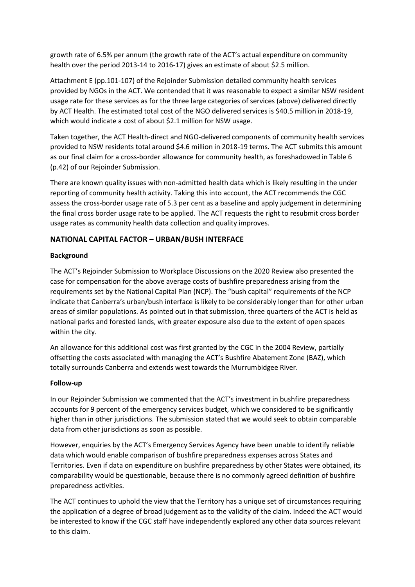growth rate of 6.5% per annum (the growth rate of the ACT's actual expenditure on community health over the period 2013-14 to 2016-17) gives an estimate of about \$2.5 million.

Attachment E (pp.101-107) of the Rejoinder Submission detailed community health services provided by NGOs in the ACT. We contended that it was reasonable to expect a similar NSW resident usage rate for these services as for the three large categories of services (above) delivered directly by ACT Health. The estimated total cost of the NGO delivered services is \$40.5 million in 2018-19, which would indicate a cost of about \$2.1 million for NSW usage.

Taken together, the ACT Health-direct and NGO-delivered components of community health services provided to NSW residents total around \$4.6 million in 2018-19 terms. The ACT submits this amount as our final claim for a cross-border allowance for community health, as foreshadowed in Table 6 (p.42) of our Rejoinder Submission.

There are known quality issues with non-admitted health data which is likely resulting in the under reporting of community health activity. Taking this into account, the ACT recommends the CGC assess the cross-border usage rate of 5.3 per cent as a baseline and apply judgement in determining the final cross border usage rate to be applied. The ACT requests the right to resubmit cross border usage rates as community health data collection and quality improves.

## **NATIONAL CAPITAL FACTOR – URBAN/BUSH INTERFACE**

#### **Background**

The ACT's Rejoinder Submission to Workplace Discussions on the 2020 Review also presented the case for compensation for the above average costs of bushfire preparedness arising from the requirements set by the National Capital Plan (NCP). The "bush capital" requirements of the NCP indicate that Canberra's urban/bush interface is likely to be considerably longer than for other urban areas of similar populations. As pointed out in that submission, three quarters of the ACT is held as national parks and forested lands, with greater exposure also due to the extent of open spaces within the city.

An allowance for this additional cost was first granted by the CGC in the 2004 Review, partially offsetting the costs associated with managing the ACT's Bushfire Abatement Zone (BAZ), which totally surrounds Canberra and extends west towards the Murrumbidgee River.

#### **Follow-up**

In our Rejoinder Submission we commented that the ACT's investment in bushfire preparedness accounts for 9 percent of the emergency services budget, which we considered to be significantly higher than in other jurisdictions. The submission stated that we would seek to obtain comparable data from other jurisdictions as soon as possible.

However, enquiries by the ACT's Emergency Services Agency have been unable to identify reliable data which would enable comparison of bushfire preparedness expenses across States and Territories. Even if data on expenditure on bushfire preparedness by other States were obtained, its comparability would be questionable, because there is no commonly agreed definition of bushfire preparedness activities.

The ACT continues to uphold the view that the Territory has a unique set of circumstances requiring the application of a degree of broad judgement as to the validity of the claim. Indeed the ACT would be interested to know if the CGC staff have independently explored any other data sources relevant to this claim.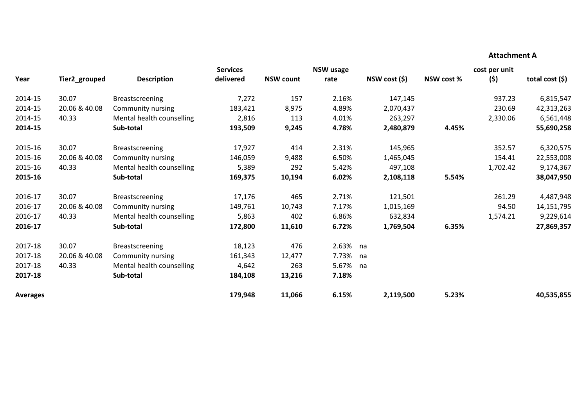### **Attachment A**

|                 |               |                           | <b>Services</b> | <b>NSW</b> usage |          |              |            | cost per unit |                   |
|-----------------|---------------|---------------------------|-----------------|------------------|----------|--------------|------------|---------------|-------------------|
| Year            | Tier2_grouped | <b>Description</b>        | delivered       | <b>NSW count</b> | rate     | NSW cost (5) | NSW cost % | (5)           | total cost $(\$)$ |
| 2014-15         | 30.07         | <b>Breastscreening</b>    | 7,272           | 157              | 2.16%    | 147,145      |            | 937.23        | 6,815,547         |
| 2014-15         | 20.06 & 40.08 | Community nursing         | 183,421         | 8,975            | 4.89%    | 2,070,437    |            | 230.69        | 42,313,263        |
| 2014-15         | 40.33         | Mental health counselling | 2,816           | 113              | 4.01%    | 263,297      |            | 2,330.06      | 6,561,448         |
| 2014-15         |               | Sub-total                 | 193,509         | 9,245            | 4.78%    | 2,480,879    | 4.45%      |               | 55,690,258        |
| 2015-16         | 30.07         | <b>Breastscreening</b>    | 17,927          | 414              | 2.31%    | 145,965      |            | 352.57        | 6,320,575         |
| 2015-16         | 20.06 & 40.08 | Community nursing         | 146,059         | 9,488            | 6.50%    | 1,465,045    |            | 154.41        | 22,553,008        |
| 2015-16         | 40.33         | Mental health counselling | 5,389           | 292              | 5.42%    | 497,108      |            | 1,702.42      | 9,174,367         |
| 2015-16         |               | Sub-total                 | 169,375         | 10,194           | 6.02%    | 2,108,118    | 5.54%      |               | 38,047,950        |
| 2016-17         | 30.07         | <b>Breastscreening</b>    | 17,176          | 465              | 2.71%    | 121,501      |            | 261.29        | 4,487,948         |
| 2016-17         | 20.06 & 40.08 | Community nursing         | 149,761         | 10,743           | 7.17%    | 1,015,169    |            | 94.50         | 14,151,795        |
| 2016-17         | 40.33         | Mental health counselling | 5,863           | 402              | 6.86%    | 632,834      |            | 1,574.21      | 9,229,614         |
| 2016-17         |               | Sub-total                 | 172,800         | 11,610           | 6.72%    | 1,769,504    | 6.35%      |               | 27,869,357        |
| 2017-18         | 30.07         | <b>Breastscreening</b>    | 18,123          | 476              | 2.63% na |              |            |               |                   |
| 2017-18         | 20.06 & 40.08 | Community nursing         | 161,343         | 12,477           | 7.73%    | na           |            |               |                   |
| 2017-18         | 40.33         | Mental health counselling | 4,642           | 263              | 5.67%    | na           |            |               |                   |
| 2017-18         |               | Sub-total                 | 184,108         | 13,216           | 7.18%    |              |            |               |                   |
| <b>Averages</b> |               |                           | 179,948         | 11,066           | 6.15%    | 2,119,500    | 5.23%      |               | 40,535,855        |